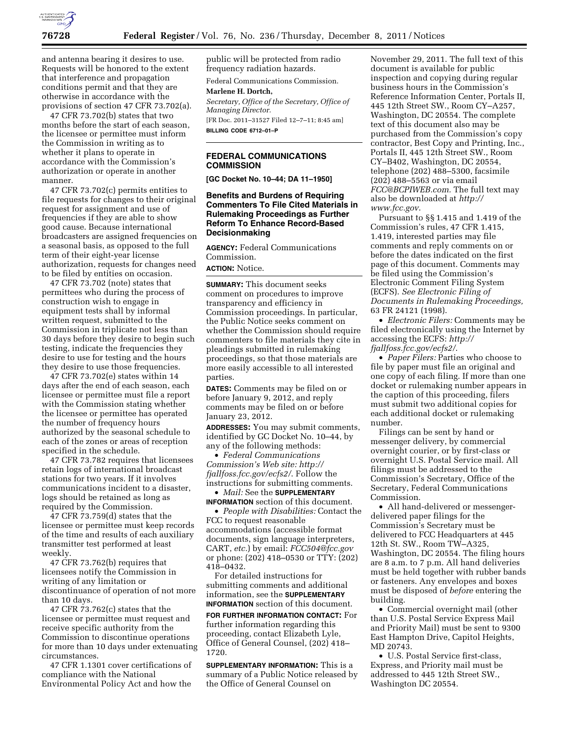

and antenna bearing it desires to use. Requests will be honored to the extent that interference and propagation conditions permit and that they are otherwise in accordance with the provisions of section 47 CFR 73.702(a).

47 CFR 73.702(b) states that two months before the start of each season, the licensee or permittee must inform the Commission in writing as to whether it plans to operate in accordance with the Commission's authorization or operate in another manner.

47 CFR 73.702(c) permits entities to file requests for changes to their original request for assignment and use of frequencies if they are able to show good cause. Because international broadcasters are assigned frequencies on a seasonal basis, as opposed to the full term of their eight-year license authorization, requests for changes need to be filed by entities on occasion.

47 CFR 73.702 (note) states that permittees who during the process of construction wish to engage in equipment tests shall by informal written request, submitted to the Commission in triplicate not less than 30 days before they desire to begin such testing, indicate the frequencies they desire to use for testing and the hours they desire to use those frequencies.

47 CFR 73.702(e) states within 14 days after the end of each season, each licensee or permittee must file a report with the Commission stating whether the licensee or permittee has operated the number of frequency hours authorized by the seasonal schedule to each of the zones or areas of reception specified in the schedule.

47 CFR 73.782 requires that licensees retain logs of international broadcast stations for two years. If it involves communications incident to a disaster, logs should be retained as long as required by the Commission.

47 CFR 73.759(d) states that the licensee or permittee must keep records of the time and results of each auxiliary transmitter test performed at least weekly.

47 CFR 73.762(b) requires that licensees notify the Commission in writing of any limitation or discontinuance of operation of not more than 10 days.

47 CFR 73.762(c) states that the licensee or permittee must request and receive specific authority from the Commission to discontinue operations for more than 10 days under extenuating circumstances.

47 CFR 1.1301 cover certifications of compliance with the National Environmental Policy Act and how the

public will be protected from radio frequency radiation hazards.

Federal Communications Commission.

# **Marlene H. Dortch,**

*Secretary, Office of the Secretary, Office of Managing Director.*  [FR Doc. 2011–31527 Filed 12–7–11; 8:45 am]

**BILLING CODE 6712–01–P** 

## **FEDERAL COMMUNICATIONS COMMISSION**

**[GC Docket No. 10–44; DA 11–1950]** 

# **Benefits and Burdens of Requiring Commenters To File Cited Materials in Rulemaking Proceedings as Further Reform To Enhance Record-Based Decisionmaking**

**AGENCY:** Federal Communications Commission.

# **ACTION:** Notice.

**SUMMARY:** This document seeks comment on procedures to improve transparency and efficiency in Commission proceedings. In particular, the Public Notice seeks comment on whether the Commission should require commenters to file materials they cite in pleadings submitted in rulemaking proceedings, so that those materials are more easily accessible to all interested parties.

**DATES:** Comments may be filed on or before January 9, 2012, and reply comments may be filed on or before January 23, 2012.

**ADDRESSES:** You may submit comments, identified by GC Docket No. 10–44, by any of the following methods:

• *Federal Communications Commission's Web site: [http://](http://fjallfoss.fcc.gov/ecfs2/) [fjallfoss.fcc.gov/ecfs2/](http://fjallfoss.fcc.gov/ecfs2/)*. Follow the instructions for submitting comments.

#### • *Mail:* See the **SUPPLEMENTARY INFORMATION** section of this document.

• *People with Disabilities:* Contact the

FCC to request reasonable accommodations (accessible format documents, sign language interpreters, CART, *etc.*) by email: *[FCC504@fcc.gov](mailto:FCC504@fcc.gov)*  or phone: (202) 418–0530 or TTY: (202) 418–0432.

For detailed instructions for submitting comments and additional information, see the **SUPPLEMENTARY INFORMATION** section of this document.

**FOR FURTHER INFORMATION CONTACT:** For further information regarding this proceeding, contact Elizabeth Lyle, Office of General Counsel, (202) 418– 1720.

**SUPPLEMENTARY INFORMATION:** This is a summary of a Public Notice released by the Office of General Counsel on

November 29, 2011. The full text of this document is available for public inspection and copying during regular business hours in the Commission's Reference Information Center, Portals II, 445 12th Street SW., Room CY–A257, Washington, DC 20554. The complete text of this document also may be purchased from the Commission's copy contractor, Best Copy and Printing, Inc., Portals II, 445 12th Street SW., Room CY–B402, Washington, DC 20554, telephone (202) 488–5300, facsimile (202) 488–5563 or via email *[FCC@BCPIWEB.com.](mailto:FCC@BCPIWEB.com)* The full text may also be downloaded at *[http://](http://www.fcc.gov) [www.fcc.gov](http://www.fcc.gov)*.

Pursuant to §§ 1.415 and 1.419 of the Commission's rules, 47 CFR 1.415, 1.419, interested parties may file comments and reply comments on or before the dates indicated on the first page of this document. Comments may be filed using the Commission's Electronic Comment Filing System (ECFS). *See Electronic Filing of Documents in Rulemaking Proceedings,*  63 FR 24121 (1998).

• *Electronic Filers:* Comments may be filed electronically using the Internet by accessing the ECFS: *[http://](http://fjallfoss.fcc.gov/ecfs2/)  [fjallfoss.fcc.gov/ecfs2/](http://fjallfoss.fcc.gov/ecfs2/)*.

• *Paper Filers:* Parties who choose to file by paper must file an original and one copy of each filing. If more than one docket or rulemaking number appears in the caption of this proceeding, filers must submit two additional copies for each additional docket or rulemaking number.

Filings can be sent by hand or messenger delivery, by commercial overnight courier, or by first-class or overnight U.S. Postal Service mail. All filings must be addressed to the Commission's Secretary, Office of the Secretary, Federal Communications Commission.

• All hand-delivered or messengerdelivered paper filings for the Commission's Secretary must be delivered to FCC Headquarters at 445 12th St. SW., Room TW–A325, Washington, DC 20554. The filing hours are 8 a.m. to 7 p.m. All hand deliveries must be held together with rubber bands or fasteners. Any envelopes and boxes must be disposed of *before* entering the building.

• Commercial overnight mail (other than U.S. Postal Service Express Mail and Priority Mail) must be sent to 9300 East Hampton Drive, Capitol Heights, MD 20743.

• U.S. Postal Service first-class, Express, and Priority mail must be addressed to 445 12th Street SW., Washington DC 20554.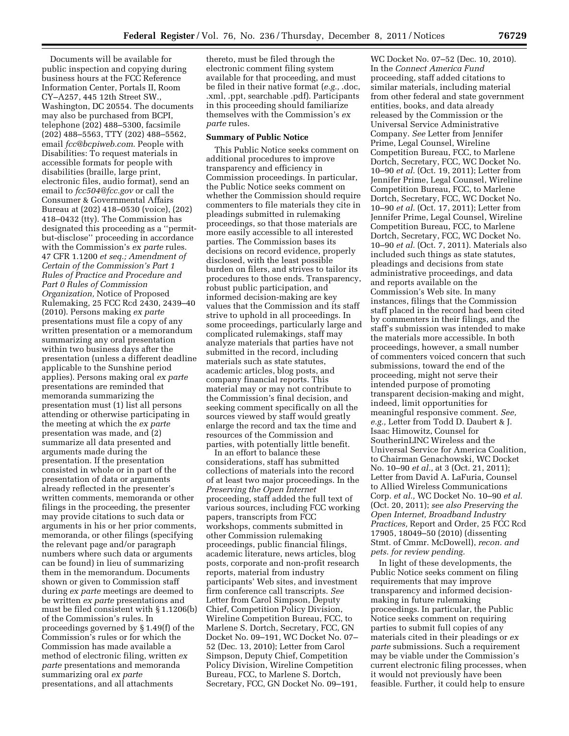Documents will be available for public inspection and copying during business hours at the FCC Reference Information Center, Portals II, Room CY–A257, 445 12th Street SW., Washington, DC 20554. The documents may also be purchased from BCPI, telephone (202) 488–5300, facsimile (202) 488–5563, TTY (202) 488–5562, email *[fcc@bcpiweb.com](mailto:fcc@bcpiweb.com)*. People with Disabilities: To request materials in accessible formats for people with disabilities (braille, large print, electronic files, audio format), send an email to *[fcc504@fcc.gov](mailto:fcc504@fcc.gov)* or call the Consumer & Governmental Affairs Bureau at (202) 418–0530 (voice), (202) 418–0432 (tty). The Commission has designated this proceeding as a ''permitbut-disclose'' proceeding in accordance with the Commission's *ex parte* rules. 47 CFR 1.1200 *et seq.; Amendment of Certain of the Commission's Part 1 Rules of Practice and Procedure and Part 0 Rules of Commission Organization,* Notice of Proposed Rulemaking, 25 FCC Rcd 2430, 2439–40 (2010). Persons making *ex parte*  presentations must file a copy of any written presentation or a memorandum summarizing any oral presentation within two business days after the presentation (unless a different deadline applicable to the Sunshine period applies). Persons making oral *ex parte*  presentations are reminded that memoranda summarizing the presentation must (1) list all persons attending or otherwise participating in the meeting at which the *ex parte*  presentation was made, and (2) summarize all data presented and arguments made during the presentation. If the presentation consisted in whole or in part of the presentation of data or arguments already reflected in the presenter's written comments, memoranda or other filings in the proceeding, the presenter may provide citations to such data or arguments in his or her prior comments, memoranda, or other filings (specifying the relevant page and/or paragraph numbers where such data or arguments can be found) in lieu of summarizing them in the memorandum. Documents shown or given to Commission staff during *ex parte* meetings are deemed to be written *ex parte* presentations and must be filed consistent with § 1.1206(b) of the Commission's rules. In proceedings governed by § 1.49(f) of the Commission's rules or for which the Commission has made available a method of electronic filing, written *ex parte* presentations and memoranda summarizing oral *ex parte*  presentations, and all attachments

thereto, must be filed through the electronic comment filing system available for that proceeding, and must be filed in their native format (*e.g.,* .doc, .xml, .ppt, searchable .pdf). Participants in this proceeding should familiarize themselves with the Commission's *ex parte* rules.

#### **Summary of Public Notice**

This Public Notice seeks comment on additional procedures to improve transparency and efficiency in Commission proceedings. In particular, the Public Notice seeks comment on whether the Commission should require commenters to file materials they cite in pleadings submitted in rulemaking proceedings, so that those materials are more easily accessible to all interested parties. The Commission bases its decisions on record evidence, properly disclosed, with the least possible burden on filers, and strives to tailor its procedures to those ends. Transparency, robust public participation, and informed decision-making are key values that the Commission and its staff strive to uphold in all proceedings. In some proceedings, particularly large and complicated rulemakings, staff may analyze materials that parties have not submitted in the record, including materials such as state statutes, academic articles, blog posts, and company financial reports. This material may or may not contribute to the Commission's final decision, and seeking comment specifically on all the sources viewed by staff would greatly enlarge the record and tax the time and resources of the Commission and parties, with potentially little benefit.

In an effort to balance these considerations, staff has submitted collections of materials into the record of at least two major proceedings. In the *Preserving the Open Internet*  proceeding, staff added the full text of various sources, including FCC working papers, transcripts from FCC workshops, comments submitted in other Commission rulemaking proceedings, public financial filings, academic literature, news articles, blog posts, corporate and non-profit research reports, material from industry participants' Web sites, and investment firm conference call transcripts. *See*  Letter from Carol Simpson, Deputy Chief, Competition Policy Division, Wireline Competition Bureau, FCC, to Marlene S. Dortch, Secretary, FCC, GN Docket No. 09–191, WC Docket No. 07– 52 (Dec. 13, 2010); Letter from Carol Simpson, Deputy Chief, Competition Policy Division, Wireline Competition Bureau, FCC, to Marlene S. Dortch, Secretary, FCC, GN Docket No. 09–191,

WC Docket No. 07–52 (Dec. 10, 2010). In the *Connect America Fund*  proceeding, staff added citations to similar materials, including material from other federal and state government entities, books, and data already released by the Commission or the Universal Service Administrative Company. *See* Letter from Jennifer Prime, Legal Counsel, Wireline Competition Bureau, FCC, to Marlene Dortch, Secretary, FCC, WC Docket No. 10–90 *et al.* (Oct. 19, 2011); Letter from Jennifer Prime, Legal Counsel, Wireline Competition Bureau, FCC, to Marlene Dortch, Secretary, FCC, WC Docket No. 10–90 *et al.* (Oct. 17, 2011); Letter from Jennifer Prime, Legal Counsel, Wireline Competition Bureau, FCC, to Marlene Dortch, Secretary, FCC, WC Docket No. 10–90 *et al.* (Oct. 7, 2011). Materials also included such things as state statutes, pleadings and decisions from state administrative proceedings, and data and reports available on the Commission's Web site. In many instances, filings that the Commission staff placed in the record had been cited by commenters in their filings, and the staff's submission was intended to make the materials more accessible. In both proceedings, however, a small number of commenters voiced concern that such submissions, toward the end of the proceeding, might not serve their intended purpose of promoting transparent decision-making and might, indeed, limit opportunities for meaningful responsive comment. *See, e.g.,* Letter from Todd D. Daubert & J. Isaac Himowitz, Counsel for SoutherinLINC Wireless and the Universal Service for America Coalition, to Chairman Genachowski, WC Docket No. 10–90 *et al.,* at 3 (Oct. 21, 2011); Letter from David A. LaFuria, Counsel to Allied Wireless Communications Corp. *et al.,* WC Docket No. 10–90 *et al.*  (Oct. 20, 2011); *see also Preserving the Open Internet, Broadband Industry Practices,* Report and Order, 25 FCC Rcd 17905, 18049–50 (2010) (dissenting Stmt. of Cmmr. McDowell), *recon. and pets. for review pending.* 

In light of these developments, the Public Notice seeks comment on filing requirements that may improve transparency and informed decisionmaking in future rulemaking proceedings. In particular, the Public Notice seeks comment on requiring parties to submit full copies of any materials cited in their pleadings or *ex parte* submissions. Such a requirement may be viable under the Commission's current electronic filing processes, when it would not previously have been feasible. Further, it could help to ensure